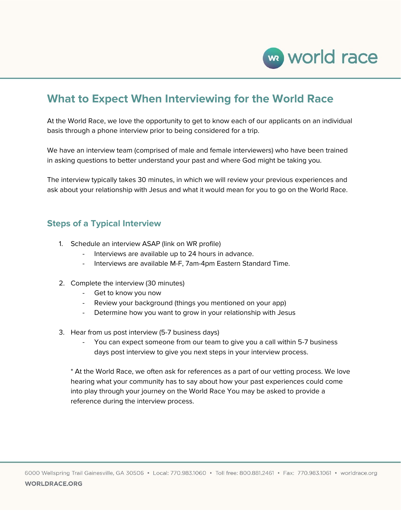

# **What to Expect When Interviewing for the World Race**

At the World Race, we love the opportunity to get to know each of our applicants on an individual basis through a phone interview prior to being considered for a trip.

We have an interview team (comprised of male and female interviewers) who have been trained in asking questions to better understand your past and where God might be taking you.

The interview typically takes 30 minutes, in which we will review your previous experiences and ask about your relationship with Jesus and what it would mean for you to go on the World Race.

## **Steps of a Typical Interview**

- 1. Schedule an interview ASAP (link on WR profile)
	- Interviews are available up to 24 hours in advance.
	- Interviews are available M-F, 7am-4pm Eastern Standard Time.
- 2. Complete the interview (30 minutes)
	- Get to know you now
	- Review your background (things you mentioned on your app)
	- Determine how you want to grow in your relationship with Jesus
- 3. Hear from us post interview (5-7 business days)
	- You can expect someone from our team to give you a call within 5-7 business days post interview to give you next steps in your interview process.

\* At the World Race, we often ask for references as a part of our vetting process. We love hearing what your community has to say about how your past experiences could come into play through your journey on the World Race You may be asked to provide a reference during the interview process.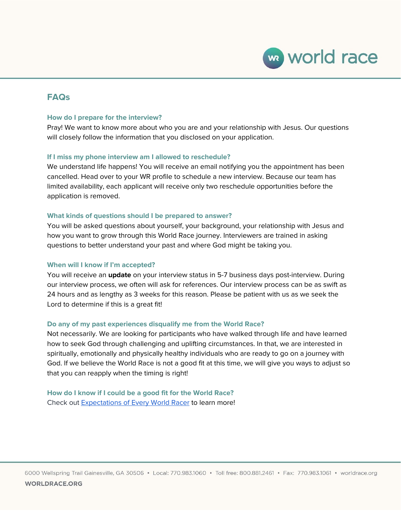

### **FAQs**

#### **How do I prepare for the interview?**

Pray! We want to know more about who you are and your relationship with Jesus. Our questions will closely follow the information that you disclosed on your application.

#### **If I miss my phone interview am I allowed to reschedule?**

We understand life happens! You will receive an email notifying you the appointment has been cancelled. Head over to your WR profile to schedule a new interview. Because our team has limited availability, each applicant will receive only two reschedule opportunities before the application is removed.

#### **What kinds of questions should I be prepared to answer?**

You will be asked questions about yourself, your background, your relationship with Jesus and how you want to grow through this World Race journey. Interviewers are trained in asking questions to better understand your past and where God might be taking you.

#### **When will I know if I'm accepted?**

You will receive an **update** on your interview status in 5-7 business days post-interview. During our interview process, we often will ask for references. Our interview process can be as swift as 24 hours and as lengthy as 3 weeks for this reason. Please be patient with us as we seek the Lord to determine if this is a great fit!

#### **Do any of my past experiences disqualify me from the World Race?**

Not necessarily. We are looking for participants who have walked through life and have learned how to seek God through challenging and uplifting circumstances. In that, we are interested in spiritually, emotionally and physically healthy individuals who are ready to go on a journey with God. If we believe the World Race is not a good fit at this time, we will give you ways to adjust so that you can reapply when the timing is right!

**How do I know if I could be a good fit for the World Race?** Check out [Expectations](https://www.worldrace.org/commitment/) of Every World Racer to learn more!